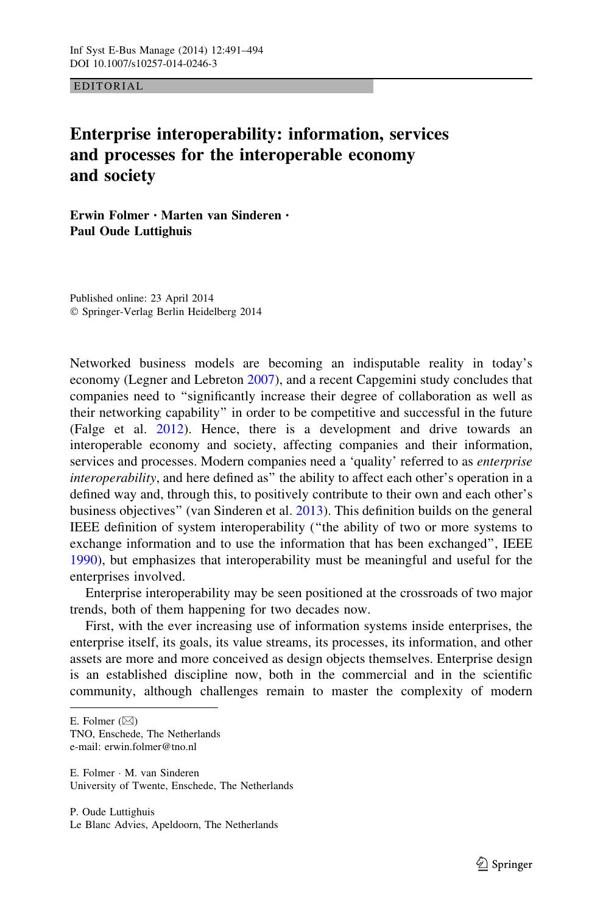EDITORIAL

## Enterprise interoperability: information, services and processes for the interoperable economy and society

Erwin Folmer • Marten van Sinderen • Paul Oude Luttighuis

Published online: 23 April 2014 - Springer-Verlag Berlin Heidelberg 2014

Networked business models are becoming an indisputable reality in today's economy (Legner and Lebreton [2007](#page-3-0)), and a recent Capgemini study concludes that companies need to ''significantly increase their degree of collaboration as well as their networking capability'' in order to be competitive and successful in the future (Falge et al. [2012](#page-3-0)). Hence, there is a development and drive towards an interoperable economy and society, affecting companies and their information, services and processes. Modern companies need a 'quality' referred to as enterprise interoperability, and here defined as" the ability to affect each other's operation in a defined way and, through this, to positively contribute to their own and each other's business objectives'' (van Sinderen et al. [2013\)](#page-3-0). This definition builds on the general IEEE definition of system interoperability (''the ability of two or more systems to exchange information and to use the information that has been exchanged'', IEEE [1990\)](#page-3-0), but emphasizes that interoperability must be meaningful and useful for the enterprises involved.

Enterprise interoperability may be seen positioned at the crossroads of two major trends, both of them happening for two decades now.

First, with the ever increasing use of information systems inside enterprises, the enterprise itself, its goals, its value streams, its processes, its information, and other assets are more and more conceived as design objects themselves. Enterprise design is an established discipline now, both in the commercial and in the scientific community, although challenges remain to master the complexity of modern

TNO, Enschede, The Netherlands e-mail: erwin.folmer@tno.nl

E. Folmer - M. van Sinderen University of Twente, Enschede, The Netherlands

E. Folmer  $(\boxtimes)$ 

P. Oude Luttighuis Le Blanc Advies, Apeldoorn, The Netherlands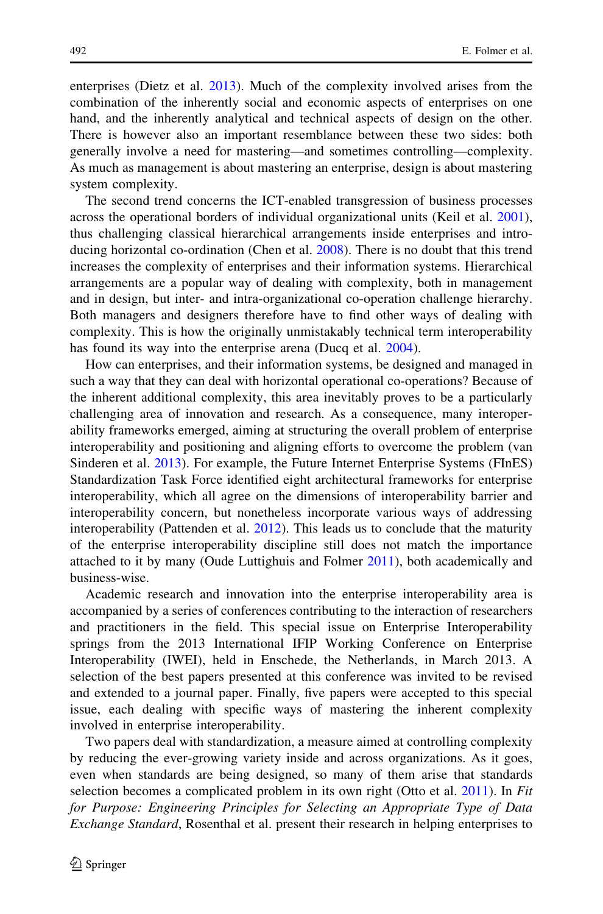enterprises (Dietz et al. [2013](#page-3-0)). Much of the complexity involved arises from the combination of the inherently social and economic aspects of enterprises on one hand, and the inherently analytical and technical aspects of design on the other. There is however also an important resemblance between these two sides: both generally involve a need for mastering—and sometimes controlling—complexity. As much as management is about mastering an enterprise, design is about mastering system complexity.

The second trend concerns the ICT-enabled transgression of business processes across the operational borders of individual organizational units (Keil et al. [2001\)](#page-3-0), thus challenging classical hierarchical arrangements inside enterprises and introducing horizontal co-ordination (Chen et al. [2008\)](#page-3-0). There is no doubt that this trend increases the complexity of enterprises and their information systems. Hierarchical arrangements are a popular way of dealing with complexity, both in management and in design, but inter- and intra-organizational co-operation challenge hierarchy. Both managers and designers therefore have to find other ways of dealing with complexity. This is how the originally unmistakably technical term interoperability has found its way into the enterprise arena (Ducq et al. [2004](#page-3-0)).

How can enterprises, and their information systems, be designed and managed in such a way that they can deal with horizontal operational co-operations? Because of the inherent additional complexity, this area inevitably proves to be a particularly challenging area of innovation and research. As a consequence, many interoperability frameworks emerged, aiming at structuring the overall problem of enterprise interoperability and positioning and aligning efforts to overcome the problem (van Sinderen et al. [2013](#page-3-0)). For example, the Future Internet Enterprise Systems (FInES) Standardization Task Force identified eight architectural frameworks for enterprise interoperability, which all agree on the dimensions of interoperability barrier and interoperability concern, but nonetheless incorporate various ways of addressing interoperability (Pattenden et al. [2012](#page-3-0)). This leads us to conclude that the maturity of the enterprise interoperability discipline still does not match the importance attached to it by many (Oude Luttighuis and Folmer [2011\)](#page-3-0), both academically and business-wise.

Academic research and innovation into the enterprise interoperability area is accompanied by a series of conferences contributing to the interaction of researchers and practitioners in the field. This special issue on Enterprise Interoperability springs from the 2013 International IFIP Working Conference on Enterprise Interoperability (IWEI), held in Enschede, the Netherlands, in March 2013. A selection of the best papers presented at this conference was invited to be revised and extended to a journal paper. Finally, five papers were accepted to this special issue, each dealing with specific ways of mastering the inherent complexity involved in enterprise interoperability.

Two papers deal with standardization, a measure aimed at controlling complexity by reducing the ever-growing variety inside and across organizations. As it goes, even when standards are being designed, so many of them arise that standards selection becomes a complicated problem in its own right (Otto et al. [2011](#page-3-0)). In Fit for Purpose: Engineering Principles for Selecting an Appropriate Type of Data Exchange Standard, Rosenthal et al. present their research in helping enterprises to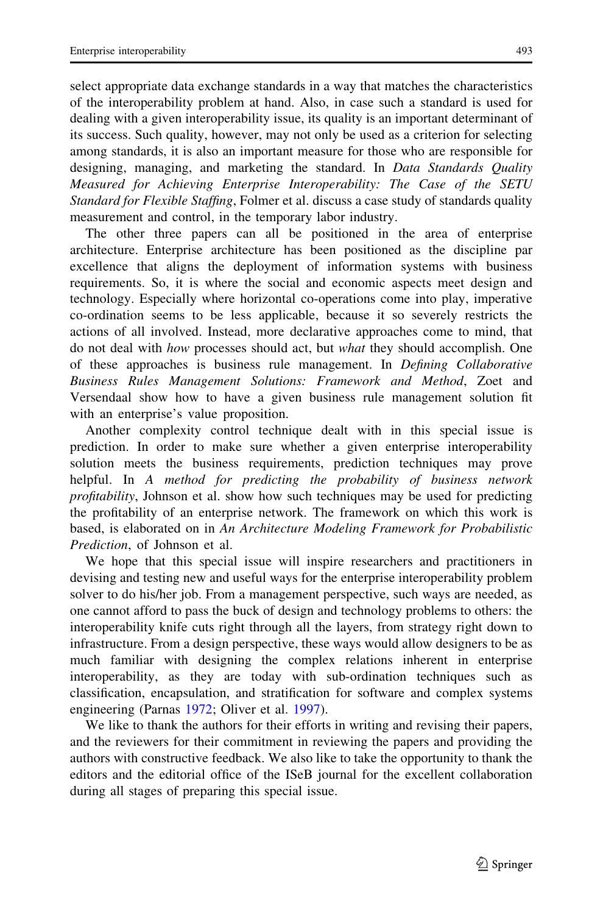select appropriate data exchange standards in a way that matches the characteristics of the interoperability problem at hand. Also, in case such a standard is used for dealing with a given interoperability issue, its quality is an important determinant of its success. Such quality, however, may not only be used as a criterion for selecting among standards, it is also an important measure for those who are responsible for designing, managing, and marketing the standard. In *Data Standards Quality* Measured for Achieving Enterprise Interoperability: The Case of the SETU Standard for Flexible Staffing, Folmer et al. discuss a case study of standards quality measurement and control, in the temporary labor industry.

The other three papers can all be positioned in the area of enterprise architecture. Enterprise architecture has been positioned as the discipline par excellence that aligns the deployment of information systems with business requirements. So, it is where the social and economic aspects meet design and technology. Especially where horizontal co-operations come into play, imperative co-ordination seems to be less applicable, because it so severely restricts the actions of all involved. Instead, more declarative approaches come to mind, that do not deal with how processes should act, but what they should accomplish. One of these approaches is business rule management. In Defining Collaborative Business Rules Management Solutions: Framework and Method, Zoet and Versendaal show how to have a given business rule management solution fit with an enterprise's value proposition.

Another complexity control technique dealt with in this special issue is prediction. In order to make sure whether a given enterprise interoperability solution meets the business requirements, prediction techniques may prove helpful. In A method for predicting the probability of business network profitability, Johnson et al. show how such techniques may be used for predicting the profitability of an enterprise network. The framework on which this work is based, is elaborated on in An Architecture Modeling Framework for Probabilistic Prediction, of Johnson et al.

We hope that this special issue will inspire researchers and practitioners in devising and testing new and useful ways for the enterprise interoperability problem solver to do his/her job. From a management perspective, such ways are needed, as one cannot afford to pass the buck of design and technology problems to others: the interoperability knife cuts right through all the layers, from strategy right down to infrastructure. From a design perspective, these ways would allow designers to be as much familiar with designing the complex relations inherent in enterprise interoperability, as they are today with sub-ordination techniques such as classification, encapsulation, and stratification for software and complex systems engineering (Parnas [1972;](#page-3-0) Oliver et al. [1997\)](#page-3-0).

We like to thank the authors for their efforts in writing and revising their papers, and the reviewers for their commitment in reviewing the papers and providing the authors with constructive feedback. We also like to take the opportunity to thank the editors and the editorial office of the ISeB journal for the excellent collaboration during all stages of preparing this special issue.